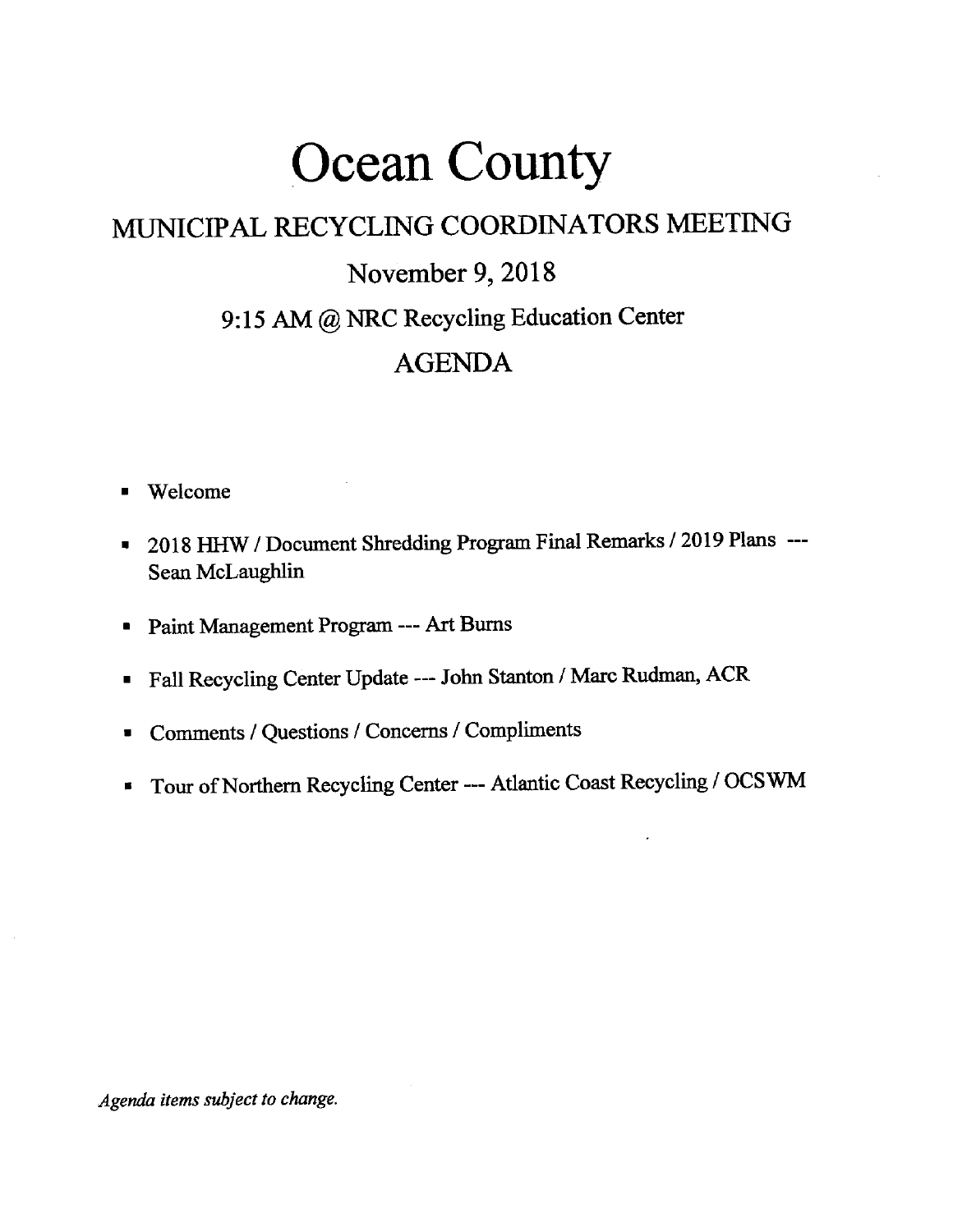## Ocean County

## MUNICIPAL RECYCLING COORDINATORS MEETING November 9, 2018 9:15 AM @ NRC Recycling Education Center

## AGENDA

- . Welcome
- <sup>-</sup> 2018 HHW / Document Shredding Program Final Remarks / 2019 Plans ---Sean McLaughlin
- . Paint Management Program --- Art Bums
- . Fall Recycling center update -- John stanton / Marc Rudman, ACR
- . Comments / Questions / Concerns / Compliments
- Tour of Northern Recycling Center --- Atlantic Coast Recycling / OCSWM

Agenda items subiect to change.